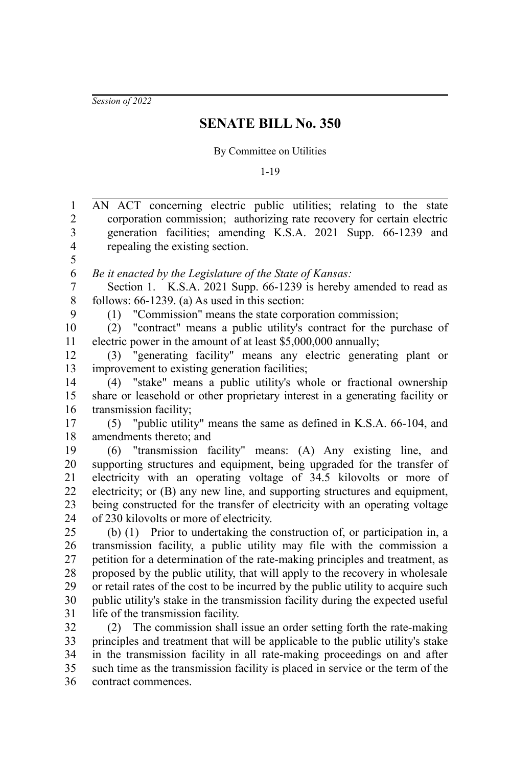*Session of 2022*

## **SENATE BILL No. 350**

## By Committee on Utilities

1-19

| $\mathbf{1}$            | AN ACT concerning electric public utilities; relating to the state               |
|-------------------------|----------------------------------------------------------------------------------|
| $\overline{c}$          | corporation commission; authorizing rate recovery for certain electric           |
| 3                       | generation facilities; amending K.S.A. 2021 Supp. 66-1239 and                    |
| $\overline{\mathbf{4}}$ | repealing the existing section.                                                  |
| 5                       |                                                                                  |
| 6                       | Be it enacted by the Legislature of the State of Kansas:                         |
| $\overline{7}$          | Section 1. K.S.A. 2021 Supp. 66-1239 is hereby amended to read as                |
| 8                       | follows: $66-1239$ . (a) As used in this section:                                |
| 9                       | "Commission" means the state corporation commission;<br>(1)                      |
| 10                      | "contract" means a public utility's contract for the purchase of<br>(2)          |
| 11                      | electric power in the amount of at least \$5,000,000 annually;                   |
| 12                      | "generating facility" means any electric generating plant or<br>(3)              |
| 13                      | improvement to existing generation facilities;                                   |
| 14                      | "stake" means a public utility's whole or fractional ownership<br>(4)            |
| 15                      | share or leasehold or other proprietary interest in a generating facility or     |
| 16                      | transmission facility;                                                           |
| 17                      | (5) "public utility" means the same as defined in K.S.A. 66-104, and             |
| 18                      | amendments thereto; and                                                          |
| 19                      | (6) "transmission facility" means: (A) Any existing line, and                    |
| 20                      | supporting structures and equipment, being upgraded for the transfer of          |
| 21                      | electricity with an operating voltage of 34.5 kilovolts or more of               |
| 22                      | electricity; or (B) any new line, and supporting structures and equipment,       |
| 23                      | being constructed for the transfer of electricity with an operating voltage      |
| 24                      | of 230 kilovolts or more of electricity.                                         |
| 25                      | (b) (1) Prior to undertaking the construction of, or participation in, a         |
| 26                      | transmission facility, a public utility may file with the commission a           |
| 27                      | petition for a determination of the rate-making principles and treatment, as     |
| 28                      | proposed by the public utility, that will apply to the recovery in wholesale     |
| 29                      | or retail rates of the cost to be incurred by the public utility to acquire such |
| 30                      | public utility's stake in the transmission facility during the expected useful   |
| 31                      | life of the transmission facility.                                               |
| 32                      | (2) The commission shall issue an order setting forth the rate-making            |
| 33                      | principles and treatment that will be applicable to the public utility's stake   |
| 34                      | in the transmission facility in all rate-making proceedings on and after         |
| 35                      | such time as the transmission facility is placed in service or the term of the   |
| 36                      | contract commences.                                                              |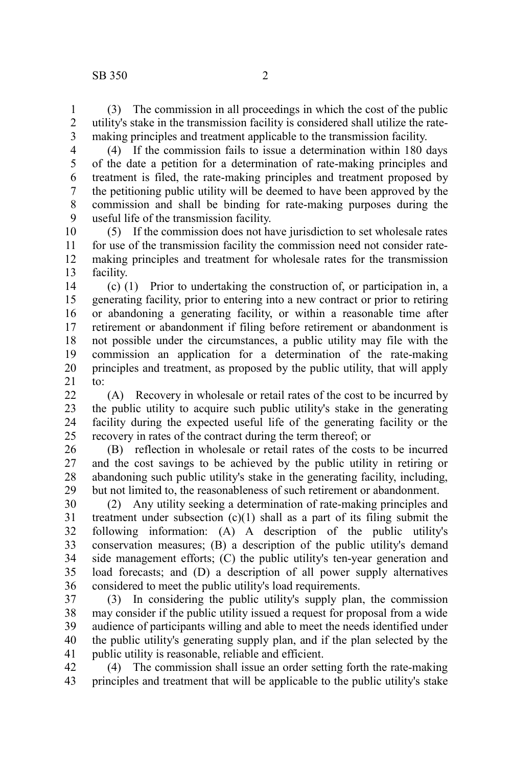(3) The commission in all proceedings in which the cost of the public utility's stake in the transmission facility is considered shall utilize the ratemaking principles and treatment applicable to the transmission facility. 1 2 3

4

(4) If the commission fails to issue a determination within 180 days of the date a petition for a determination of rate-making principles and treatment is filed, the rate-making principles and treatment proposed by the petitioning public utility will be deemed to have been approved by the commission and shall be binding for rate-making purposes during the useful life of the transmission facility. 5 6 7 8 9

(5) If the commission does not have jurisdiction to set wholesale rates for use of the transmission facility the commission need not consider ratemaking principles and treatment for wholesale rates for the transmission facility. 10 11 12 13

(c) (1) Prior to undertaking the construction of, or participation in, a generating facility, prior to entering into a new contract or prior to retiring or abandoning a generating facility, or within a reasonable time after retirement or abandonment if filing before retirement or abandonment is not possible under the circumstances, a public utility may file with the commission an application for a determination of the rate-making principles and treatment, as proposed by the public utility, that will apply to: 14 15 16 17 18 19 20 21

(A) Recovery in wholesale or retail rates of the cost to be incurred by the public utility to acquire such public utility's stake in the generating facility during the expected useful life of the generating facility or the recovery in rates of the contract during the term thereof; or  $22$ 23 24 25

(B) reflection in wholesale or retail rates of the costs to be incurred and the cost savings to be achieved by the public utility in retiring or abandoning such public utility's stake in the generating facility, including, but not limited to, the reasonableness of such retirement or abandonment. 26 27 28 29

(2) Any utility seeking a determination of rate-making principles and treatment under subsection  $(c)(1)$  shall as a part of its filing submit the following information: (A) A description of the public utility's conservation measures; (B) a description of the public utility's demand side management efforts; (C) the public utility's ten-year generation and load forecasts; and (D) a description of all power supply alternatives considered to meet the public utility's load requirements. 30 31 32 33 34 35 36

(3) In considering the public utility's supply plan, the commission may consider if the public utility issued a request for proposal from a wide audience of participants willing and able to meet the needs identified under the public utility's generating supply plan, and if the plan selected by the public utility is reasonable, reliable and efficient. 37 38 39 40 41

(4) The commission shall issue an order setting forth the rate-making principles and treatment that will be applicable to the public utility's stake 42 43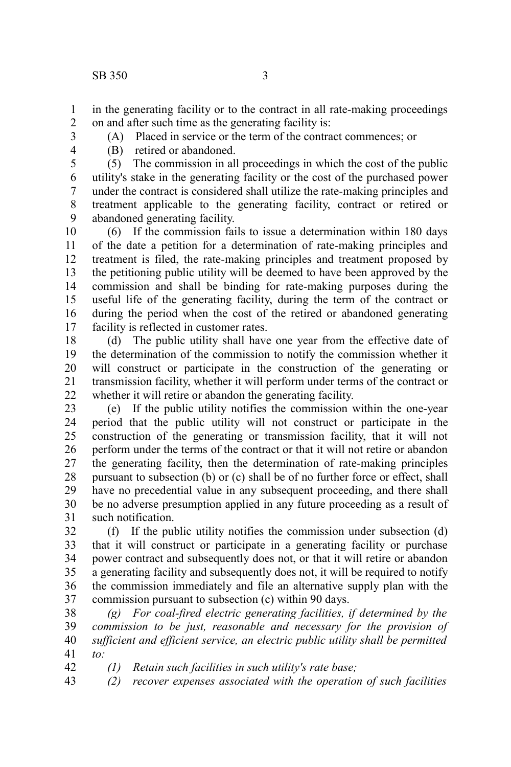in the generating facility or to the contract in all rate-making proceedings on and after such time as the generating facility is: 1 2

- 3
- 4

(A) Placed in service or the term of the contract commences; or

(B) retired or abandoned.

(5) The commission in all proceedings in which the cost of the public utility's stake in the generating facility or the cost of the purchased power under the contract is considered shall utilize the rate-making principles and treatment applicable to the generating facility, contract or retired or abandoned generating facility. 5 6 7 8 9

(6) If the commission fails to issue a determination within 180 days of the date a petition for a determination of rate-making principles and treatment is filed, the rate-making principles and treatment proposed by the petitioning public utility will be deemed to have been approved by the commission and shall be binding for rate-making purposes during the useful life of the generating facility, during the term of the contract or during the period when the cost of the retired or abandoned generating facility is reflected in customer rates. 10 11 12 13 14 15 16 17

(d) The public utility shall have one year from the effective date of the determination of the commission to notify the commission whether it will construct or participate in the construction of the generating or transmission facility, whether it will perform under terms of the contract or whether it will retire or abandon the generating facility. 18 19 20 21 22

(e) If the public utility notifies the commission within the one-year period that the public utility will not construct or participate in the construction of the generating or transmission facility, that it will not perform under the terms of the contract or that it will not retire or abandon the generating facility, then the determination of rate-making principles pursuant to subsection (b) or (c) shall be of no further force or effect, shall have no precedential value in any subsequent proceeding, and there shall be no adverse presumption applied in any future proceeding as a result of such notification. 23 24 25 26 27 28 29 30 31

(f) If the public utility notifies the commission under subsection (d) that it will construct or participate in a generating facility or purchase power contract and subsequently does not, or that it will retire or abandon a generating facility and subsequently does not, it will be required to notify the commission immediately and file an alternative supply plan with the commission pursuant to subsection (c) within 90 days. 32 33 34 35 36 37

*(g) For coal-fired electric generating facilities, if determined by the commission to be just, reasonable and necessary for the provision of sufficient and efficient service, an electric public utility shall be permitted to:* 38 39 40 41

*(1) Retain such facilities in such utility's rate base;* 42

*(2) recover expenses associated with the operation of such facilities* 43